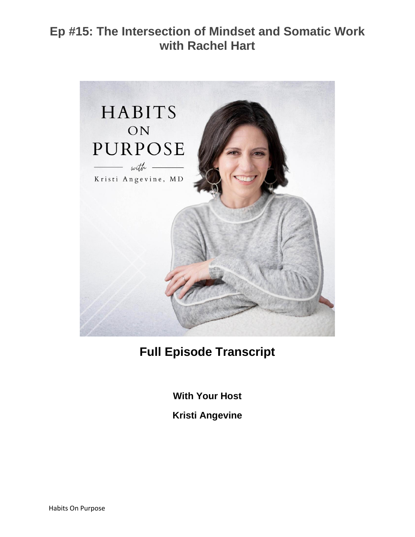

#### **Full Episode Transcript**

**With Your Host**

**Kristi Angevine**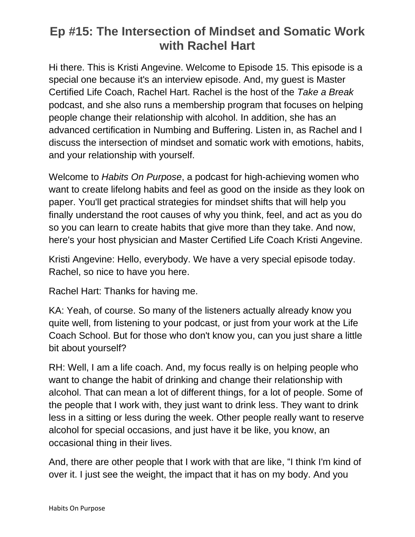Hi there. This is Kristi Angevine. Welcome to Episode 15. This episode is a special one because it's an interview episode. And, my guest is Master Certified Life Coach, Rachel Hart. Rachel is the host of the *Take a Break* podcast, and she also runs a membership program that focuses on helping people change their relationship with alcohol. In addition, she has an advanced certification in Numbing and Buffering. Listen in, as Rachel and I discuss the intersection of mindset and somatic work with emotions, habits, and your relationship with yourself.

Welcome to *Habits On Purpose*, a podcast for high-achieving women who want to create lifelong habits and feel as good on the inside as they look on paper. You'll get practical strategies for mindset shifts that will help you finally understand the root causes of why you think, feel, and act as you do so you can learn to create habits that give more than they take. And now, here's your host physician and Master Certified Life Coach Kristi Angevine.

Kristi Angevine: Hello, everybody. We have a very special episode today. Rachel, so nice to have you here.

Rachel Hart: Thanks for having me.

KA: Yeah, of course. So many of the listeners actually already know you quite well, from listening to your podcast, or just from your work at the Life Coach School. But for those who don't know you, can you just share a little bit about yourself?

RH: Well, I am a life coach. And, my focus really is on helping people who want to change the habit of drinking and change their relationship with alcohol. That can mean a lot of different things, for a lot of people. Some of the people that I work with, they just want to drink less. They want to drink less in a sitting or less during the week. Other people really want to reserve alcohol for special occasions, and just have it be like, you know, an occasional thing in their lives.

And, there are other people that I work with that are like, "I think I'm kind of over it. I just see the weight, the impact that it has on my body. And you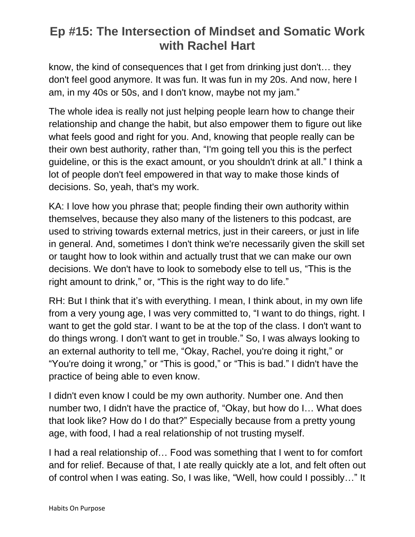know, the kind of consequences that I get from drinking just don't… they don't feel good anymore. It was fun. It was fun in my 20s. And now, here I am, in my 40s or 50s, and I don't know, maybe not my jam."

The whole idea is really not just helping people learn how to change their relationship and change the habit, but also empower them to figure out like what feels good and right for you. And, knowing that people really can be their own best authority, rather than, "I'm going tell you this is the perfect guideline, or this is the exact amount, or you shouldn't drink at all." I think a lot of people don't feel empowered in that way to make those kinds of decisions. So, yeah, that's my work.

KA: I love how you phrase that; people finding their own authority within themselves, because they also many of the listeners to this podcast, are used to striving towards external metrics, just in their careers, or just in life in general. And, sometimes I don't think we're necessarily given the skill set or taught how to look within and actually trust that we can make our own decisions. We don't have to look to somebody else to tell us, "This is the right amount to drink," or, "This is the right way to do life."

RH: But I think that it's with everything. I mean, I think about, in my own life from a very young age, I was very committed to, "I want to do things, right. I want to get the gold star. I want to be at the top of the class. I don't want to do things wrong. I don't want to get in trouble." So, I was always looking to an external authority to tell me, "Okay, Rachel, you're doing it right," or "You're doing it wrong," or "This is good," or "This is bad." I didn't have the practice of being able to even know.

I didn't even know I could be my own authority. Number one. And then number two, I didn't have the practice of, "Okay, but how do I… What does that look like? How do I do that?" Especially because from a pretty young age, with food, I had a real relationship of not trusting myself.

I had a real relationship of… Food was something that I went to for comfort and for relief. Because of that, I ate really quickly ate a lot, and felt often out of control when I was eating. So, I was like, "Well, how could I possibly…" It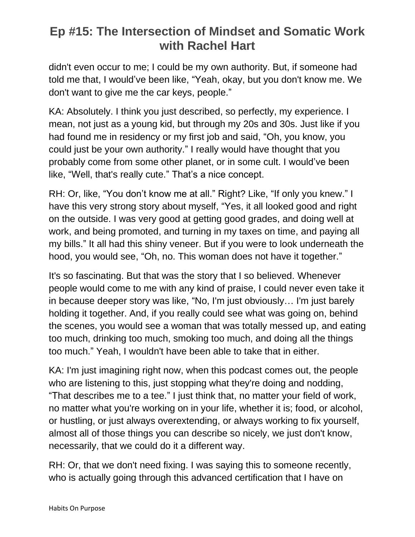didn't even occur to me; I could be my own authority. But, if someone had told me that, I would've been like, "Yeah, okay, but you don't know me. We don't want to give me the car keys, people."

KA: Absolutely. I think you just described, so perfectly, my experience. I mean, not just as a young kid, but through my 20s and 30s. Just like if you had found me in residency or my first job and said, "Oh, you know, you could just be your own authority." I really would have thought that you probably come from some other planet, or in some cult. I would've been like, "Well, that's really cute." That's a nice concept.

RH: Or, like, "You don't know me at all." Right? Like, "If only you knew." I have this very strong story about myself, "Yes, it all looked good and right on the outside. I was very good at getting good grades, and doing well at work, and being promoted, and turning in my taxes on time, and paying all my bills." It all had this shiny veneer. But if you were to look underneath the hood, you would see, "Oh, no. This woman does not have it together."

It's so fascinating. But that was the story that I so believed. Whenever people would come to me with any kind of praise, I could never even take it in because deeper story was like, "No, I'm just obviously… I'm just barely holding it together. And, if you really could see what was going on, behind the scenes, you would see a woman that was totally messed up, and eating too much, drinking too much, smoking too much, and doing all the things too much." Yeah, I wouldn't have been able to take that in either.

KA: I'm just imagining right now, when this podcast comes out, the people who are listening to this, just stopping what they're doing and nodding, "That describes me to a tee." I just think that, no matter your field of work, no matter what you're working on in your life, whether it is; food, or alcohol, or hustling, or just always overextending, or always working to fix yourself, almost all of those things you can describe so nicely, we just don't know, necessarily, that we could do it a different way.

RH: Or, that we don't need fixing. I was saying this to someone recently, who is actually going through this advanced certification that I have on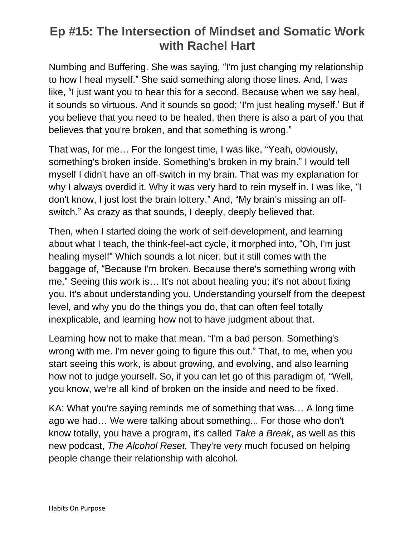Numbing and Buffering. She was saying, "I'm just changing my relationship to how I heal myself." She said something along those lines. And, I was like, "I just want you to hear this for a second. Because when we say heal, it sounds so virtuous. And it sounds so good; 'I'm just healing myself.' But if you believe that you need to be healed, then there is also a part of you that believes that you're broken, and that something is wrong."

That was, for me… For the longest time, I was like, "Yeah, obviously, something's broken inside. Something's broken in my brain." I would tell myself I didn't have an off-switch in my brain. That was my explanation for why I always overdid it. Why it was very hard to rein myself in. I was like, "I don't know, I just lost the brain lottery." And, "My brain's missing an offswitch." As crazy as that sounds, I deeply, deeply believed that.

Then, when I started doing the work of self-development, and learning about what I teach, the think-feel-act cycle, it morphed into, "Oh, I'm just healing myself" Which sounds a lot nicer, but it still comes with the baggage of, "Because I'm broken. Because there's something wrong with me." Seeing this work is… It's not about healing you; it's not about fixing you. It's about understanding you. Understanding yourself from the deepest level, and why you do the things you do, that can often feel totally inexplicable, and learning how not to have judgment about that.

Learning how not to make that mean, "I'm a bad person. Something's wrong with me. I'm never going to figure this out." That, to me, when you start seeing this work, is about growing, and evolving, and also learning how not to judge yourself. So, if you can let go of this paradigm of, "Well, you know, we're all kind of broken on the inside and need to be fixed.

KA: What you're saying reminds me of something that was… A long time ago we had… We were talking about something... For those who don't know totally, you have a program, it's called *Take a Break*, as well as this new podcast, *The Alcohol Reset.* They're very much focused on helping people change their relationship with alcohol.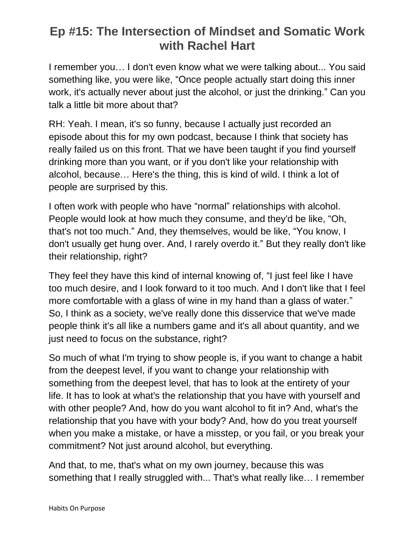I remember you… I don't even know what we were talking about... You said something like, you were like, "Once people actually start doing this inner work, it's actually never about just the alcohol, or just the drinking." Can you talk a little bit more about that?

RH: Yeah. I mean, it's so funny, because I actually just recorded an episode about this for my own podcast, because I think that society has really failed us on this front. That we have been taught if you find yourself drinking more than you want, or if you don't like your relationship with alcohol, because… Here's the thing, this is kind of wild. I think a lot of people are surprised by this.

I often work with people who have "normal" relationships with alcohol. People would look at how much they consume, and they'd be like, "Oh, that's not too much." And, they themselves, would be like, "You know, I don't usually get hung over. And, I rarely overdo it." But they really don't like their relationship, right?

They feel they have this kind of internal knowing of, "I just feel like I have too much desire, and I look forward to it too much. And I don't like that I feel more comfortable with a glass of wine in my hand than a glass of water." So, I think as a society, we've really done this disservice that we've made people think it's all like a numbers game and it's all about quantity, and we just need to focus on the substance, right?

So much of what I'm trying to show people is, if you want to change a habit from the deepest level, if you want to change your relationship with something from the deepest level, that has to look at the entirety of your life. It has to look at what's the relationship that you have with yourself and with other people? And, how do you want alcohol to fit in? And, what's the relationship that you have with your body? And, how do you treat yourself when you make a mistake, or have a misstep, or you fail, or you break your commitment? Not just around alcohol, but everything.

And that, to me, that's what on my own journey, because this was something that I really struggled with... That's what really like… I remember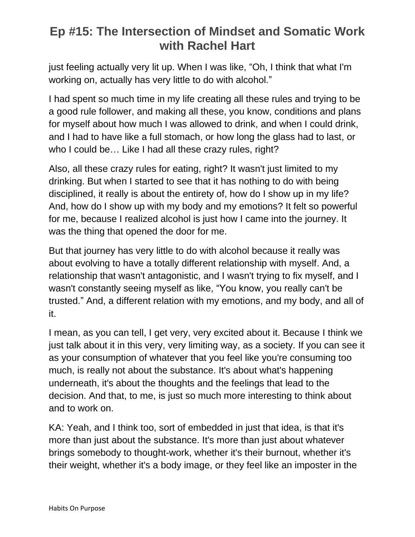just feeling actually very lit up. When I was like, "Oh, I think that what I'm working on, actually has very little to do with alcohol."

I had spent so much time in my life creating all these rules and trying to be a good rule follower, and making all these, you know, conditions and plans for myself about how much I was allowed to drink, and when I could drink, and I had to have like a full stomach, or how long the glass had to last, or who I could be… Like I had all these crazy rules, right?

Also, all these crazy rules for eating, right? It wasn't just limited to my drinking. But when I started to see that it has nothing to do with being disciplined, it really is about the entirety of, how do I show up in my life? And, how do I show up with my body and my emotions? It felt so powerful for me, because I realized alcohol is just how I came into the journey. It was the thing that opened the door for me.

But that journey has very little to do with alcohol because it really was about evolving to have a totally different relationship with myself. And, a relationship that wasn't antagonistic, and I wasn't trying to fix myself, and I wasn't constantly seeing myself as like, "You know, you really can't be trusted." And, a different relation with my emotions, and my body, and all of it.

I mean, as you can tell, I get very, very excited about it. Because I think we just talk about it in this very, very limiting way, as a society. If you can see it as your consumption of whatever that you feel like you're consuming too much, is really not about the substance. It's about what's happening underneath, it's about the thoughts and the feelings that lead to the decision. And that, to me, is just so much more interesting to think about and to work on.

KA: Yeah, and I think too, sort of embedded in just that idea, is that it's more than just about the substance. It's more than just about whatever brings somebody to thought-work, whether it's their burnout, whether it's their weight, whether it's a body image, or they feel like an imposter in the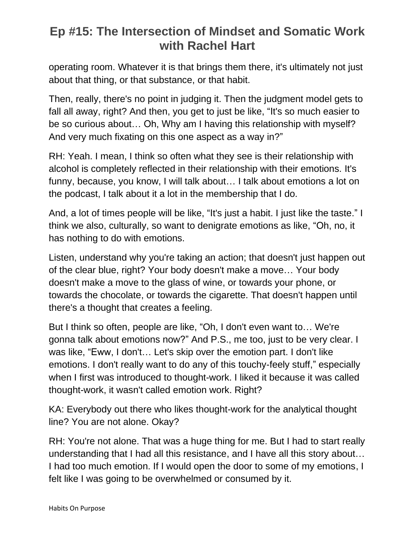operating room. Whatever it is that brings them there, it's ultimately not just about that thing, or that substance, or that habit.

Then, really, there's no point in judging it. Then the judgment model gets to fall all away, right? And then, you get to just be like, "It's so much easier to be so curious about… Oh, Why am I having this relationship with myself? And very much fixating on this one aspect as a way in?"

RH: Yeah. I mean, I think so often what they see is their relationship with alcohol is completely reflected in their relationship with their emotions. It's funny, because, you know, I will talk about… I talk about emotions a lot on the podcast, I talk about it a lot in the membership that I do.

And, a lot of times people will be like, "It's just a habit. I just like the taste." I think we also, culturally, so want to denigrate emotions as like, "Oh, no, it has nothing to do with emotions.

Listen, understand why you're taking an action; that doesn't just happen out of the clear blue, right? Your body doesn't make a move… Your body doesn't make a move to the glass of wine, or towards your phone, or towards the chocolate, or towards the cigarette. That doesn't happen until there's a thought that creates a feeling.

But I think so often, people are like, "Oh, I don't even want to… We're gonna talk about emotions now?" And P.S., me too, just to be very clear. I was like, "Eww, I don't… Let's skip over the emotion part. I don't like emotions. I don't really want to do any of this touchy-feely stuff," especially when I first was introduced to thought-work. I liked it because it was called thought-work, it wasn't called emotion work. Right?

KA: Everybody out there who likes thought-work for the analytical thought line? You are not alone. Okay?

RH: You're not alone. That was a huge thing for me. But I had to start really understanding that I had all this resistance, and I have all this story about… I had too much emotion. If I would open the door to some of my emotions, I felt like I was going to be overwhelmed or consumed by it.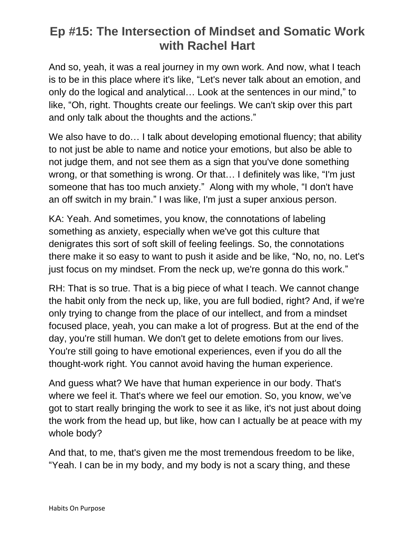And so, yeah, it was a real journey in my own work. And now, what I teach is to be in this place where it's like, "Let's never talk about an emotion, and only do the logical and analytical… Look at the sentences in our mind," to like, "Oh, right. Thoughts create our feelings. We can't skip over this part and only talk about the thoughts and the actions."

We also have to do... I talk about developing emotional fluency; that ability to not just be able to name and notice your emotions, but also be able to not judge them, and not see them as a sign that you've done something wrong, or that something is wrong. Or that… I definitely was like, "I'm just someone that has too much anxiety." Along with my whole, "I don't have an off switch in my brain." I was like, I'm just a super anxious person.

KA: Yeah. And sometimes, you know, the connotations of labeling something as anxiety, especially when we've got this culture that denigrates this sort of soft skill of feeling feelings. So, the connotations there make it so easy to want to push it aside and be like, "No, no, no. Let's just focus on my mindset. From the neck up, we're gonna do this work."

RH: That is so true. That is a big piece of what I teach. We cannot change the habit only from the neck up, like, you are full bodied, right? And, if we're only trying to change from the place of our intellect, and from a mindset focused place, yeah, you can make a lot of progress. But at the end of the day, you're still human. We don't get to delete emotions from our lives. You're still going to have emotional experiences, even if you do all the thought-work right. You cannot avoid having the human experience.

And guess what? We have that human experience in our body. That's where we feel it. That's where we feel our emotion. So, you know, we've got to start really bringing the work to see it as like, it's not just about doing the work from the head up, but like, how can I actually be at peace with my whole body?

And that, to me, that's given me the most tremendous freedom to be like, "Yeah. I can be in my body, and my body is not a scary thing, and these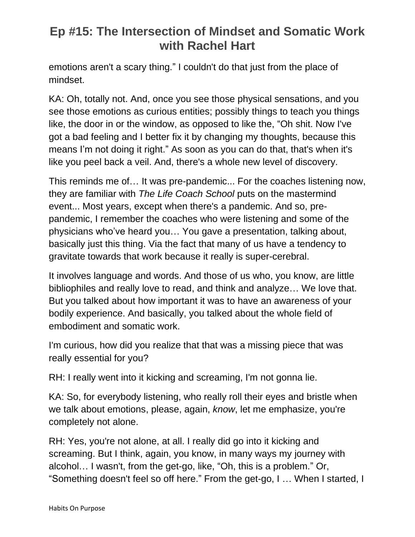emotions aren't a scary thing." I couldn't do that just from the place of mindset.

KA: Oh, totally not. And, once you see those physical sensations, and you see those emotions as curious entities; possibly things to teach you things like, the door in or the window, as opposed to like the, "Oh shit. Now I've got a bad feeling and I better fix it by changing my thoughts, because this means I'm not doing it right." As soon as you can do that, that's when it's like you peel back a veil. And, there's a whole new level of discovery.

This reminds me of… It was pre-pandemic... For the coaches listening now, they are familiar with *The Life Coach School* puts on the mastermind event... Most years, except when there's a pandemic. And so, prepandemic, I remember the coaches who were listening and some of the physicians who've heard you… You gave a presentation, talking about, basically just this thing. Via the fact that many of us have a tendency to gravitate towards that work because it really is super-cerebral.

It involves language and words. And those of us who, you know, are little bibliophiles and really love to read, and think and analyze… We love that. But you talked about how important it was to have an awareness of your bodily experience. And basically, you talked about the whole field of embodiment and somatic work.

I'm curious, how did you realize that that was a missing piece that was really essential for you?

RH: I really went into it kicking and screaming, I'm not gonna lie.

KA: So, for everybody listening, who really roll their eyes and bristle when we talk about emotions, please, again, *know*, let me emphasize, you're completely not alone.

RH: Yes, you're not alone, at all. I really did go into it kicking and screaming. But I think, again, you know, in many ways my journey with alcohol… I wasn't, from the get-go, like, "Oh, this is a problem." Or, "Something doesn't feel so off here." From the get-go, I … When I started, I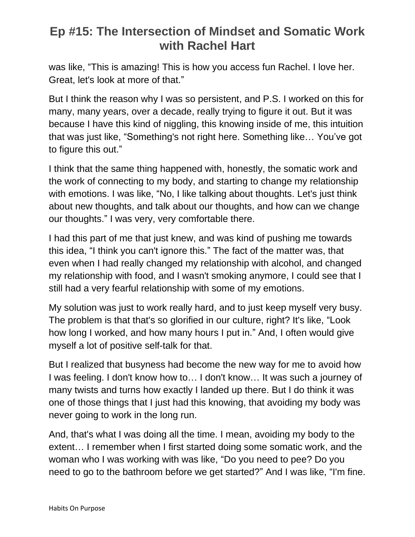was like, "This is amazing! This is how you access fun Rachel. I love her. Great, let's look at more of that."

But I think the reason why I was so persistent, and P.S. I worked on this for many, many years, over a decade, really trying to figure it out. But it was because I have this kind of niggling, this knowing inside of me, this intuition that was just like, "Something's not right here. Something like… You've got to figure this out."

I think that the same thing happened with, honestly, the somatic work and the work of connecting to my body, and starting to change my relationship with emotions. I was like, "No, I like talking about thoughts. Let's just think about new thoughts, and talk about our thoughts, and how can we change our thoughts." I was very, very comfortable there.

I had this part of me that just knew, and was kind of pushing me towards this idea, "I think you can't ignore this." The fact of the matter was, that even when I had really changed my relationship with alcohol, and changed my relationship with food, and I wasn't smoking anymore, I could see that I still had a very fearful relationship with some of my emotions.

My solution was just to work really hard, and to just keep myself very busy. The problem is that that's so glorified in our culture, right? It's like, "Look how long I worked, and how many hours I put in." And, I often would give myself a lot of positive self-talk for that.

But I realized that busyness had become the new way for me to avoid how I was feeling. I don't know how to… I don't know… It was such a journey of many twists and turns how exactly I landed up there. But I do think it was one of those things that I just had this knowing, that avoiding my body was never going to work in the long run.

And, that's what I was doing all the time. I mean, avoiding my body to the extent… I remember when I first started doing some somatic work, and the woman who I was working with was like, "Do you need to pee? Do you need to go to the bathroom before we get started?" And I was like, "I'm fine.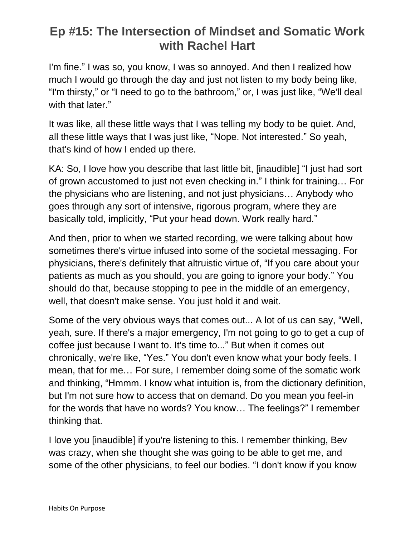I'm fine." I was so, you know, I was so annoyed. And then I realized how much I would go through the day and just not listen to my body being like, "I'm thirsty," or "I need to go to the bathroom," or, I was just like, "We'll deal with that later."

It was like, all these little ways that I was telling my body to be quiet. And, all these little ways that I was just like, "Nope. Not interested." So yeah, that's kind of how I ended up there.

KA: So, I love how you describe that last little bit, [inaudible] "I just had sort of grown accustomed to just not even checking in." I think for training… For the physicians who are listening, and not just physicians… Anybody who goes through any sort of intensive, rigorous program, where they are basically told, implicitly, "Put your head down. Work really hard."

And then, prior to when we started recording, we were talking about how sometimes there's virtue infused into some of the societal messaging. For physicians, there's definitely that altruistic virtue of, "If you care about your patients as much as you should, you are going to ignore your body." You should do that, because stopping to pee in the middle of an emergency, well, that doesn't make sense. You just hold it and wait.

Some of the very obvious ways that comes out... A lot of us can say, "Well, yeah, sure. If there's a major emergency, I'm not going to go to get a cup of coffee just because I want to. It's time to..." But when it comes out chronically, we're like, "Yes." You don't even know what your body feels. I mean, that for me… For sure, I remember doing some of the somatic work and thinking, "Hmmm. I know what intuition is, from the dictionary definition, but I'm not sure how to access that on demand. Do you mean you feel-in for the words that have no words? You know… The feelings?" I remember thinking that.

I love you [inaudible] if you're listening to this. I remember thinking, Bev was crazy, when she thought she was going to be able to get me, and some of the other physicians, to feel our bodies. "I don't know if you know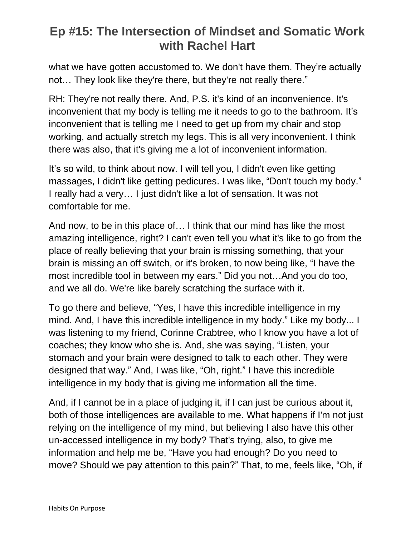what we have gotten accustomed to. We don't have them. They're actually not… They look like they're there, but they're not really there."

RH: They're not really there. And, P.S. it's kind of an inconvenience. It's inconvenient that my body is telling me it needs to go to the bathroom. It's inconvenient that is telling me I need to get up from my chair and stop working, and actually stretch my legs. This is all very inconvenient. I think there was also, that it's giving me a lot of inconvenient information.

It's so wild, to think about now. I will tell you, I didn't even like getting massages, I didn't like getting pedicures. I was like, "Don't touch my body." I really had a very… I just didn't like a lot of sensation. It was not comfortable for me.

And now, to be in this place of… I think that our mind has like the most amazing intelligence, right? I can't even tell you what it's like to go from the place of really believing that your brain is missing something, that your brain is missing an off switch, or it's broken, to now being like, "I have the most incredible tool in between my ears." Did you not…And you do too, and we all do. We're like barely scratching the surface with it.

To go there and believe, "Yes, I have this incredible intelligence in my mind. And, I have this incredible intelligence in my body." Like my body... I was listening to my friend, Corinne Crabtree, who I know you have a lot of coaches; they know who she is. And, she was saying, "Listen, your stomach and your brain were designed to talk to each other. They were designed that way." And, I was like, "Oh, right." I have this incredible intelligence in my body that is giving me information all the time.

And, if I cannot be in a place of judging it, if I can just be curious about it, both of those intelligences are available to me. What happens if I'm not just relying on the intelligence of my mind, but believing I also have this other un-accessed intelligence in my body? That's trying, also, to give me information and help me be, "Have you had enough? Do you need to move? Should we pay attention to this pain?" That, to me, feels like, "Oh, if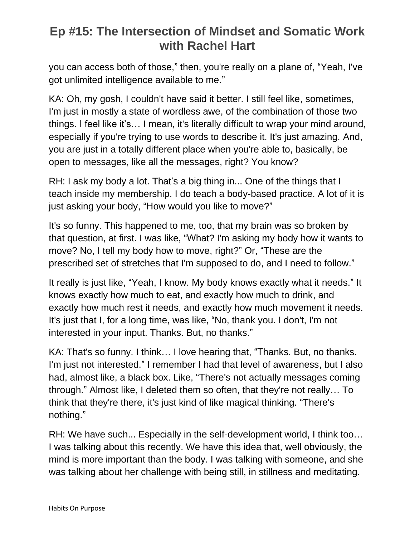you can access both of those," then, you're really on a plane of, "Yeah, I've got unlimited intelligence available to me."

KA: Oh, my gosh, I couldn't have said it better. I still feel like, sometimes, I'm just in mostly a state of wordless awe, of the combination of those two things. I feel like it's… I mean, it's literally difficult to wrap your mind around, especially if you're trying to use words to describe it. It's just amazing. And, you are just in a totally different place when you're able to, basically, be open to messages, like all the messages, right? You know?

RH: I ask my body a lot. That's a big thing in... One of the things that I teach inside my membership. I do teach a body-based practice. A lot of it is just asking your body, "How would you like to move?"

It's so funny. This happened to me, too, that my brain was so broken by that question, at first. I was like, "What? I'm asking my body how it wants to move? No, I tell my body how to move, right?" Or, "These are the prescribed set of stretches that I'm supposed to do, and I need to follow."

It really is just like, "Yeah, I know. My body knows exactly what it needs." It knows exactly how much to eat, and exactly how much to drink, and exactly how much rest it needs, and exactly how much movement it needs. It's just that I, for a long time, was like, "No, thank you. I don't, I'm not interested in your input. Thanks. But, no thanks."

KA: That's so funny. I think… I love hearing that, "Thanks. But, no thanks. I'm just not interested." I remember I had that level of awareness, but I also had, almost like, a black box. Like, "There's not actually messages coming through." Almost like, I deleted them so often, that they're not really… To think that they're there, it's just kind of like magical thinking. "There's nothing."

RH: We have such... Especially in the self-development world, I think too… I was talking about this recently. We have this idea that, well obviously, the mind is more important than the body. I was talking with someone, and she was talking about her challenge with being still, in stillness and meditating.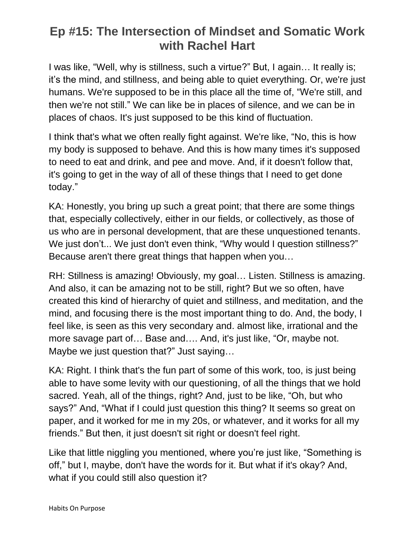I was like, "Well, why is stillness, such a virtue?" But, I again… It really is; it's the mind, and stillness, and being able to quiet everything. Or, we're just humans. We're supposed to be in this place all the time of, "We're still, and then we're not still." We can like be in places of silence, and we can be in places of chaos. It's just supposed to be this kind of fluctuation.

I think that's what we often really fight against. We're like, "No, this is how my body is supposed to behave. And this is how many times it's supposed to need to eat and drink, and pee and move. And, if it doesn't follow that, it's going to get in the way of all of these things that I need to get done today."

KA: Honestly, you bring up such a great point; that there are some things that, especially collectively, either in our fields, or collectively, as those of us who are in personal development, that are these unquestioned tenants. We just don't... We just don't even think, "Why would I question stillness?" Because aren't there great things that happen when you…

RH: Stillness is amazing! Obviously, my goal… Listen. Stillness is amazing. And also, it can be amazing not to be still, right? But we so often, have created this kind of hierarchy of quiet and stillness, and meditation, and the mind, and focusing there is the most important thing to do. And, the body, I feel like, is seen as this very secondary and. almost like, irrational and the more savage part of… Base and…. And, it's just like, "Or, maybe not. Maybe we just question that?" Just saying…

KA: Right. I think that's the fun part of some of this work, too, is just being able to have some levity with our questioning, of all the things that we hold sacred. Yeah, all of the things, right? And, just to be like, "Oh, but who says?" And, "What if I could just question this thing? It seems so great on paper, and it worked for me in my 20s, or whatever, and it works for all my friends." But then, it just doesn't sit right or doesn't feel right.

Like that little niggling you mentioned, where you're just like, "Something is off," but I, maybe, don't have the words for it. But what if it's okay? And, what if you could still also question it?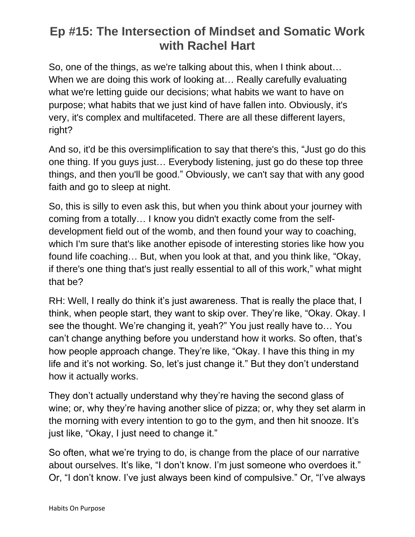So, one of the things, as we're talking about this, when I think about… When we are doing this work of looking at... Really carefully evaluating what we're letting guide our decisions; what habits we want to have on purpose; what habits that we just kind of have fallen into. Obviously, it's very, it's complex and multifaceted. There are all these different layers, right?

And so, it'd be this oversimplification to say that there's this, "Just go do this one thing. If you guys just… Everybody listening, just go do these top three things, and then you'll be good." Obviously, we can't say that with any good faith and go to sleep at night.

So, this is silly to even ask this, but when you think about your journey with coming from a totally… I know you didn't exactly come from the selfdevelopment field out of the womb, and then found your way to coaching, which I'm sure that's like another episode of interesting stories like how you found life coaching… But, when you look at that, and you think like, "Okay, if there's one thing that's just really essential to all of this work," what might that be?

RH: Well, I really do think it's just awareness. That is really the place that, I think, when people start, they want to skip over. They're like, "Okay. Okay. I see the thought. We're changing it, yeah?" You just really have to… You can't change anything before you understand how it works. So often, that's how people approach change. They're like, "Okay. I have this thing in my life and it's not working. So, let's just change it." But they don't understand how it actually works.

They don't actually understand why they're having the second glass of wine; or, why they're having another slice of pizza; or, why they set alarm in the morning with every intention to go to the gym, and then hit snooze. It's just like, "Okay, I just need to change it."

So often, what we're trying to do, is change from the place of our narrative about ourselves. It's like, "I don't know. I'm just someone who overdoes it." Or, "I don't know. I've just always been kind of compulsive." Or, "I've always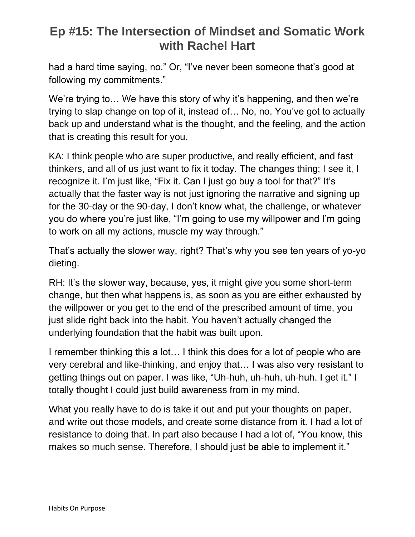had a hard time saying, no." Or, "I've never been someone that's good at following my commitments."

We're trying to... We have this story of why it's happening, and then we're trying to slap change on top of it, instead of… No, no. You've got to actually back up and understand what is the thought, and the feeling, and the action that is creating this result for you.

KA: I think people who are super productive, and really efficient, and fast thinkers, and all of us just want to fix it today. The changes thing; I see it, I recognize it. I'm just like, "Fix it. Can I just go buy a tool for that?" It's actually that the faster way is not just ignoring the narrative and signing up for the 30-day or the 90-day, I don't know what, the challenge, or whatever you do where you're just like, "I'm going to use my willpower and I'm going to work on all my actions, muscle my way through."

That's actually the slower way, right? That's why you see ten years of yo-yo dieting.

RH: It's the slower way, because, yes, it might give you some short-term change, but then what happens is, as soon as you are either exhausted by the willpower or you get to the end of the prescribed amount of time, you just slide right back into the habit. You haven't actually changed the underlying foundation that the habit was built upon.

I remember thinking this a lot… I think this does for a lot of people who are very cerebral and like-thinking, and enjoy that… I was also very resistant to getting things out on paper. I was like, "Uh-huh, uh-huh, uh-huh. I get it." I totally thought I could just build awareness from in my mind.

What you really have to do is take it out and put your thoughts on paper, and write out those models, and create some distance from it. I had a lot of resistance to doing that. In part also because I had a lot of, "You know, this makes so much sense. Therefore, I should just be able to implement it."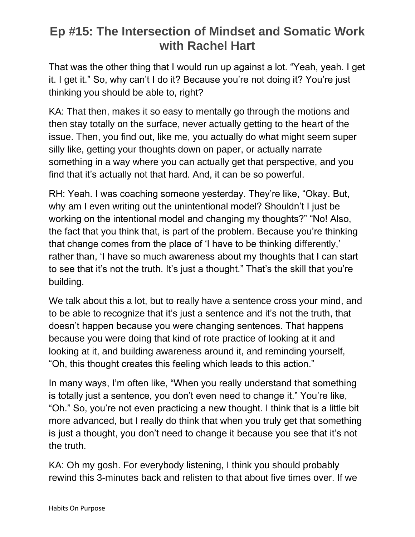That was the other thing that I would run up against a lot. "Yeah, yeah. I get it. I get it." So, why can't I do it? Because you're not doing it? You're just thinking you should be able to, right?

KA: That then, makes it so easy to mentally go through the motions and then stay totally on the surface, never actually getting to the heart of the issue. Then, you find out, like me, you actually do what might seem super silly like, getting your thoughts down on paper, or actually narrate something in a way where you can actually get that perspective, and you find that it's actually not that hard. And, it can be so powerful.

RH: Yeah. I was coaching someone yesterday. They're like, "Okay. But, why am I even writing out the unintentional model? Shouldn't I just be working on the intentional model and changing my thoughts?" "No! Also, the fact that you think that, is part of the problem. Because you're thinking that change comes from the place of 'I have to be thinking differently,' rather than, 'I have so much awareness about my thoughts that I can start to see that it's not the truth. It's just a thought." That's the skill that you're building.

We talk about this a lot, but to really have a sentence cross your mind, and to be able to recognize that it's just a sentence and it's not the truth, that doesn't happen because you were changing sentences. That happens because you were doing that kind of rote practice of looking at it and looking at it, and building awareness around it, and reminding yourself, "Oh, this thought creates this feeling which leads to this action."

In many ways, I'm often like, "When you really understand that something is totally just a sentence, you don't even need to change it." You're like, "Oh." So, you're not even practicing a new thought. I think that is a little bit more advanced, but I really do think that when you truly get that something is just a thought, you don't need to change it because you see that it's not the truth.

KA: Oh my gosh. For everybody listening, I think you should probably rewind this 3-minutes back and relisten to that about five times over. If we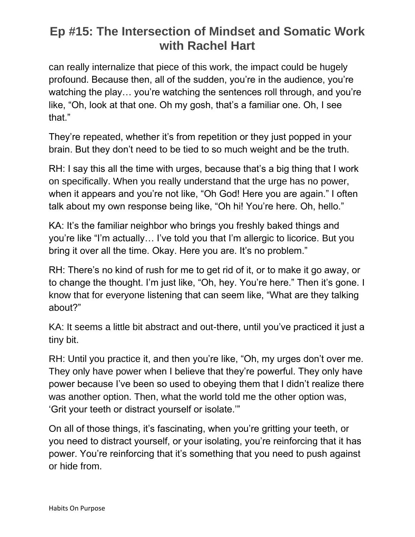can really internalize that piece of this work, the impact could be hugely profound. Because then, all of the sudden, you're in the audience, you're watching the play... you're watching the sentences roll through, and you're like, "Oh, look at that one. Oh my gosh, that's a familiar one. Oh, I see that."

They're repeated, whether it's from repetition or they just popped in your brain. But they don't need to be tied to so much weight and be the truth.

RH: I say this all the time with urges, because that's a big thing that I work on specifically. When you really understand that the urge has no power, when it appears and you're not like, "Oh God! Here you are again." I often talk about my own response being like, "Oh hi! You're here. Oh, hello."

KA: It's the familiar neighbor who brings you freshly baked things and you're like "I'm actually… I've told you that I'm allergic to licorice. But you bring it over all the time. Okay. Here you are. It's no problem."

RH: There's no kind of rush for me to get rid of it, or to make it go away, or to change the thought. I'm just like, "Oh, hey. You're here." Then it's gone. I know that for everyone listening that can seem like, "What are they talking about?"

KA: It seems a little bit abstract and out-there, until you've practiced it just a tiny bit.

RH: Until you practice it, and then you're like, "Oh, my urges don't over me. They only have power when I believe that they're powerful. They only have power because I've been so used to obeying them that I didn't realize there was another option. Then, what the world told me the other option was, 'Grit your teeth or distract yourself or isolate.'"

On all of those things, it's fascinating, when you're gritting your teeth, or you need to distract yourself, or your isolating, you're reinforcing that it has power. You're reinforcing that it's something that you need to push against or hide from.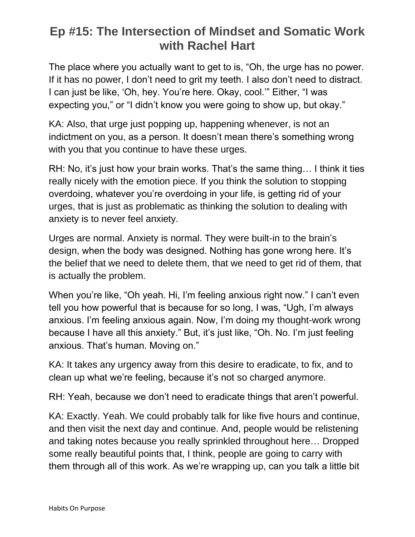The place where you actually want to get to is, "Oh, the urge has no power. If it has no power, I don't need to grit my teeth. I also don't need to distract. I can just be like, 'Oh, hey. You're here. Okay, cool.'" Either, "I was expecting you," or "I didn't know you were going to show up, but okay."

KA: Also, that urge just popping up, happening whenever, is not an indictment on you, as a person. It doesn't mean there's something wrong with you that you continue to have these urges.

RH: No, it's just how your brain works. That's the same thing… I think it ties really nicely with the emotion piece. If you think the solution to stopping overdoing, whatever you're overdoing in your life, is getting rid of your urges, that is just as problematic as thinking the solution to dealing with anxiety is to never feel anxiety.

Urges are normal. Anxiety is normal. They were built-in to the brain's design, when the body was designed. Nothing has gone wrong here. It's the belief that we need to delete them, that we need to get rid of them, that is actually the problem.

When you're like, "Oh yeah. Hi, I'm feeling anxious right now." I can't even tell you how powerful that is because for so long, I was, "Ugh, I'm always anxious. I'm feeling anxious again. Now, I'm doing my thought-work wrong because I have all this anxiety." But, it's just like, "Oh. No. I'm just feeling anxious. That's human. Moving on."

KA: It takes any urgency away from this desire to eradicate, to fix, and to clean up what we're feeling, because it's not so charged anymore.

RH: Yeah, because we don't need to eradicate things that aren't powerful.

KA: Exactly. Yeah. We could probably talk for like five hours and continue, and then visit the next day and continue. And, people would be relistening and taking notes because you really sprinkled throughout here… Dropped some really beautiful points that, I think, people are going to carry with them through all of this work. As we're wrapping up, can you talk a little bit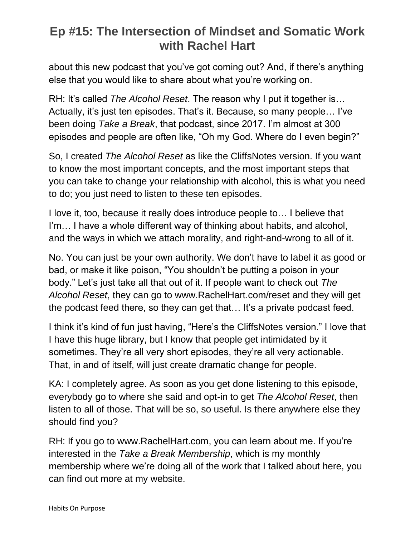about this new podcast that you've got coming out? And, if there's anything else that you would like to share about what you're working on.

RH: It's called *The Alcohol Reset*. The reason why I put it together is… Actually, it's just ten episodes. That's it. Because, so many people… I've been doing *Take a Break*, that podcast, since 2017. I'm almost at 300 episodes and people are often like, "Oh my God. Where do I even begin?"

So, I created *The Alcohol Reset* as like the CliffsNotes version. If you want to know the most important concepts, and the most important steps that you can take to change your relationship with alcohol, this is what you need to do; you just need to listen to these ten episodes.

I love it, too, because it really does introduce people to… I believe that I'm… I have a whole different way of thinking about habits, and alcohol, and the ways in which we attach morality, and right-and-wrong to all of it.

No. You can just be your own authority. We don't have to label it as good or bad, or make it like poison, "You shouldn't be putting a poison in your body." Let's just take all that out of it. If people want to check out *The Alcohol Reset*, they can go to www.RachelHart.com/reset and they will get the podcast feed there, so they can get that… It's a private podcast feed.

I think it's kind of fun just having, "Here's the CliffsNotes version." I love that I have this huge library, but I know that people get intimidated by it sometimes. They're all very short episodes, they're all very actionable. That, in and of itself, will just create dramatic change for people.

KA: I completely agree. As soon as you get done listening to this episode, everybody go to where she said and opt-in to get *The Alcohol Reset*, then listen to all of those. That will be so, so useful. Is there anywhere else they should find you?

RH: If you go to www.RachelHart.com, you can learn about me. If you're interested in the *Take a Break Membership*, which is my monthly membership where we're doing all of the work that I talked about here, you can find out more at my website.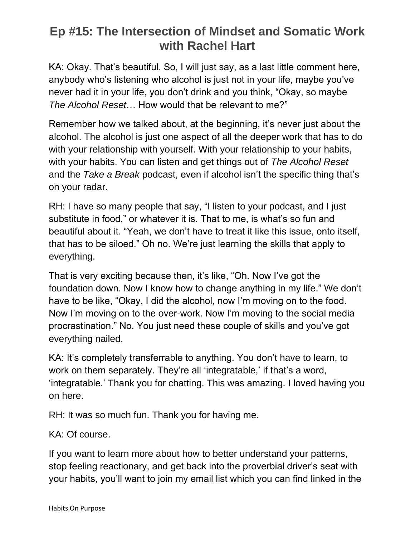KA: Okay. That's beautiful. So, I will just say, as a last little comment here, anybody who's listening who alcohol is just not in your life, maybe you've never had it in your life, you don't drink and you think, "Okay, so maybe *The Alcohol Reset*… How would that be relevant to me?"

Remember how we talked about, at the beginning, it's never just about the alcohol. The alcohol is just one aspect of all the deeper work that has to do with your relationship with yourself. With your relationship to your habits, with your habits. You can listen and get things out of *The Alcohol Reset* and the *Take a Break* podcast, even if alcohol isn't the specific thing that's on your radar.

RH: I have so many people that say, "I listen to your podcast, and I just substitute in food," or whatever it is. That to me, is what's so fun and beautiful about it. "Yeah, we don't have to treat it like this issue, onto itself, that has to be siloed." Oh no. We're just learning the skills that apply to everything.

That is very exciting because then, it's like, "Oh. Now I've got the foundation down. Now I know how to change anything in my life." We don't have to be like, "Okay, I did the alcohol, now I'm moving on to the food. Now I'm moving on to the over-work. Now I'm moving to the social media procrastination." No. You just need these couple of skills and you've got everything nailed.

KA: It's completely transferrable to anything. You don't have to learn, to work on them separately. They're all 'integratable,' if that's a word, 'integratable.' Thank you for chatting. This was amazing. I loved having you on here.

RH: It was so much fun. Thank you for having me.

#### KA: Of course.

If you want to learn more about how to better understand your patterns, stop feeling reactionary, and get back into the proverbial driver's seat with your habits, you'll want to join my email list which you can find linked in the